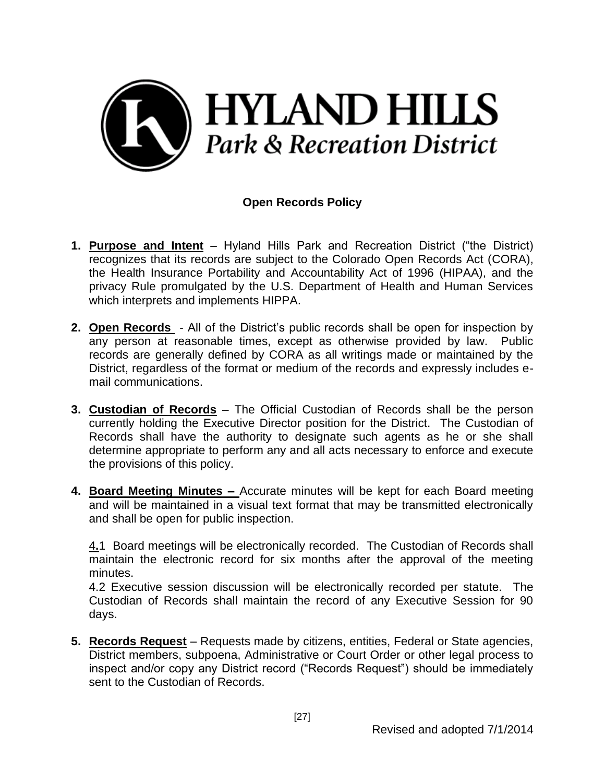

## **Open Records Policy**

- **1. Purpose and Intent** Hyland Hills Park and Recreation District ("the District) recognizes that its records are subject to the Colorado Open Records Act (CORA), the Health Insurance Portability and Accountability Act of 1996 (HIPAA), and the privacy Rule promulgated by the U.S. Department of Health and Human Services which interprets and implements HIPPA.
- **2. Open Records**  All of the District's public records shall be open for inspection by any person at reasonable times, except as otherwise provided by law. Public records are generally defined by CORA as all writings made or maintained by the District, regardless of the format or medium of the records and expressly includes email communications.
- **3. Custodian of Records** The Official Custodian of Records shall be the person currently holding the Executive Director position for the District. The Custodian of Records shall have the authority to designate such agents as he or she shall determine appropriate to perform any and all acts necessary to enforce and execute the provisions of this policy.
- **4. Board Meeting Minutes –** Accurate minutes will be kept for each Board meeting and will be maintained in a visual text format that may be transmitted electronically and shall be open for public inspection.

4**.**1 Board meetings will be electronically recorded. The Custodian of Records shall maintain the electronic record for six months after the approval of the meeting minutes.

4.2 Executive session discussion will be electronically recorded per statute. The Custodian of Records shall maintain the record of any Executive Session for 90 days.

**5. Records Request** – Requests made by citizens, entities, Federal or State agencies, District members, subpoena, Administrative or Court Order or other legal process to inspect and/or copy any District record ("Records Request") should be immediately sent to the Custodian of Records.